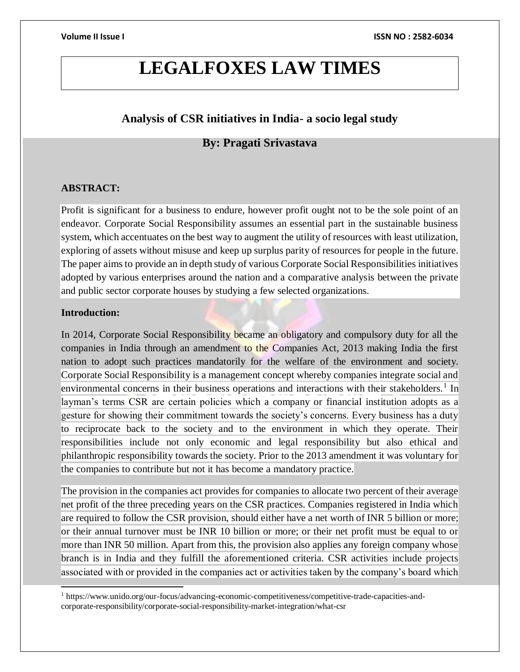# **LEGALFOXES LAW TIMES**

# **Analysis of CSR initiatives in India- a socio legal study**

# **By: Pragati Srivastava**

#### **ABSTRACT:**

Profit is significant for a business to endure, however profit ought not to be the sole point of an endeavor. Corporate Social Responsibility assumes an essential part in the sustainable business system, which accentuates on the best way to augment the utility of resources with least utilization, exploring of assets without misuse and keep up surplus parity of resources for people in the future. The paper aims to provide an in depth study of various Corporate Social Responsibilities initiatives adopted by various enterprises around the nation and a comparative analysis between the private and public sector corporate houses by studying a few selected organizations.

# **Introduction:**

l

In 2014, Corporate Social Responsibility became an obligatory and compulsory duty for all the companies in India through an amendment to the Companies Act, 2013 making India the first nation to adopt such practices mandatorily for the welfare of the environment and society. Corporate Social Responsibility is a management concept whereby companies integrate social and environmental concerns in their business operations and interactions with their stakeholders.<sup>1</sup> In layman's terms CSR are certain policies which a company or financial institution adopts as a gesture for showing their commitment towards the society's concerns. Every business has a duty to reciprocate back to the society and to the environment in which they operate. Their responsibilities include not only economic and legal responsibility but also ethical and philanthropic responsibility towards the society. Prior to the 2013 amendment it was voluntary for the companies to contribute but not it has become a mandatory practice.

The provision in the companies act provides for companies to allocate two percent of their average net profit of the three preceding years on the CSR practices. Companies registered in India which are required to follow the CSR provision, should either have a net worth of INR 5 billion or more; or their annual turnover must be INR 10 billion or more; or their net profit must be equal to or more than INR 50 million. Apart from this, the provision also applies any foreign company whose branch is in India and they fulfill the aforementioned criteria. CSR activities include projects associated with or provided in the companies act or activities taken by the company's board which

<sup>1</sup> https://www.unido.org/our-focus/advancing-economic-competitiveness/competitive-trade-capacities-andcorporate-responsibility/corporate-social-responsibility-market-integration/what-csr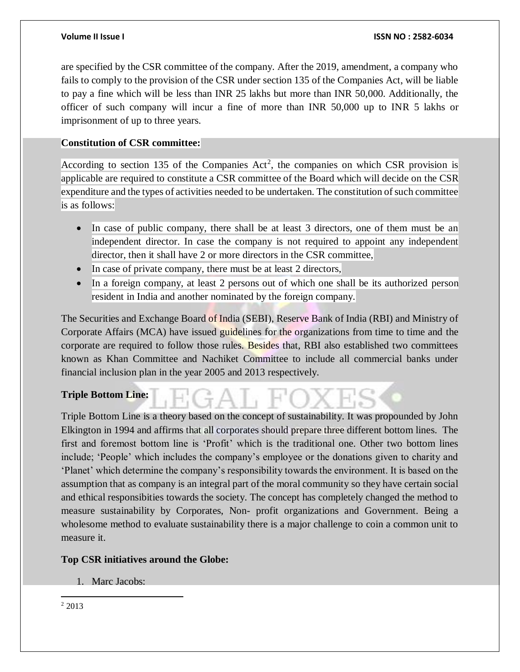are specified by the CSR committee of the company. After the 2019, amendment, a company who fails to comply to the provision of the CSR under section 135 of the Companies Act, will be liable to pay a fine which will be less than INR 25 lakhs but more than INR 50,000. Additionally, the officer of such company will incur a fine of more than INR 50,000 up to INR 5 lakhs or imprisonment of up to three years.

### **Constitution of CSR committee:**

According to section 135 of the Companies  $Act^2$ , the companies on which CSR provision is applicable are required to constitute a CSR committee of the Board which will decide on the CSR expenditure and the types of activities needed to be undertaken. The constitution of such committee is as follows:

- In case of public company, there shall be at least 3 directors, one of them must be an independent director. In case the company is not required to appoint any independent director, then it shall have 2 or more directors in the CSR committee,
- In case of private company, there must be at least 2 directors,
- In a foreign company, at least 2 persons out of which one shall be its authorized person resident in India and another nominated by the foreign company.

The Securities and Exchange Board of India (SEBI), Reserve Bank of India (RBI) and Ministry of Corporate Affairs (MCA) have issued guidelines for the organizations from time to time and the corporate are required to follow those rules. Besides that, RBI also established two committees known as Khan Committee and Nachiket Committee to include all commercial banks under financial inclusion plan in the year 2005 and 2013 respectively.

# **Triple Bottom Line:**

Triple Bottom Line is a theory based on the concept of sustainability. It was propounded by John Elkington in 1994 and affirms that all corporates should prepare three different bottom lines. The first and foremost bottom line is 'Profit' which is the traditional one. Other two bottom lines include; 'People' which includes the company's employee or the donations given to charity and 'Planet' which determine the company's responsibility towards the environment. It is based on the assumption that as company is an integral part of the moral community so they have certain social and ethical responsibities towards the society. The concept has completely changed the method to measure sustainability by Corporates, Non- profit organizations and Government. Being a wholesome method to evaluate sustainability there is a major challenge to coin a common unit to measure it.

### **Top CSR initiatives around the Globe:**

1. Marc Jacobs:

 $\overline{a}$ <sup>2</sup> 2013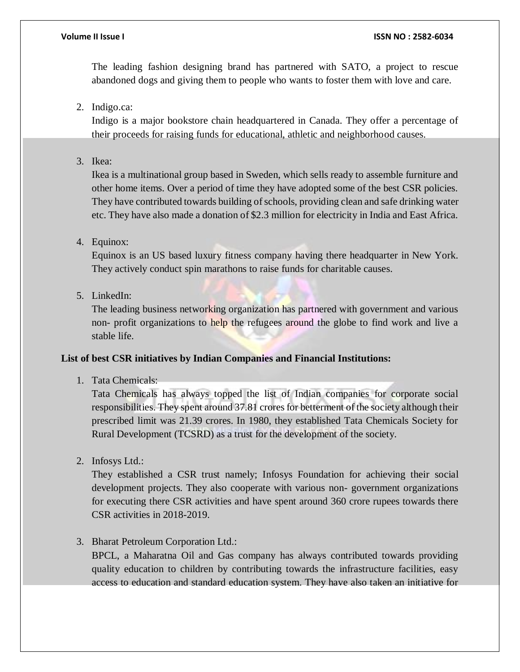The leading fashion designing brand has partnered with SATO, a project to rescue abandoned dogs and giving them to people who wants to foster them with love and care.

# 2. Indigo.ca:

Indigo is a major bookstore chain headquartered in Canada. They offer a percentage of their proceeds for raising funds for educational, athletic and neighborhood causes.

3. Ikea:

Ikea is a multinational group based in Sweden, which sells ready to assemble furniture and other home items. Over a period of time they have adopted some of the best CSR policies. They have contributed towards building of schools, providing clean and safe drinking water etc. They have also made a donation of \$2.3 million for electricity in India and East Africa.

4. Equinox:

Equinox is an US based luxury fitness company having there headquarter in New York. They actively conduct spin marathons to raise funds for charitable causes.

5. LinkedIn:

The leading business networking organization has partnered with government and various non- profit organizations to help the refugees around the globe to find work and live a stable life.

### **List of best CSR initiatives by Indian Companies and Financial Institutions:**

1. Tata Chemicals:

Tata Chemicals has always topped the list of Indian companies for corporate social responsibilities. They spent around 37.81 crores for betterment of the society although their prescribed limit was 21.39 crores. In 1980, they established Tata Chemicals Society for Rural Development (TCSRD) as a trust for the development of the society.

2. Infosys Ltd.:

They established a CSR trust namely; Infosys Foundation for achieving their social development projects. They also cooperate with various non- government organizations for executing there CSR activities and have spent around 360 crore rupees towards there CSR activities in 2018-2019.

3. Bharat Petroleum Corporation Ltd.:

BPCL, a Maharatna Oil and Gas company has always contributed towards providing quality education to children by contributing towards the infrastructure facilities, easy access to education and standard education system. They have also taken an initiative for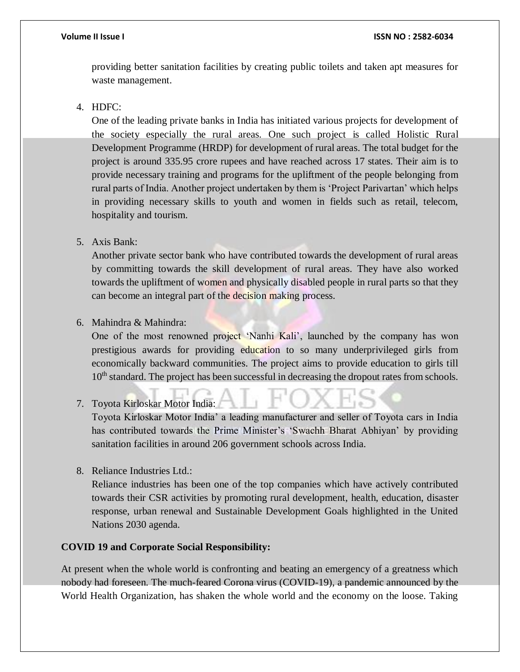providing better sanitation facilities by creating public toilets and taken apt measures for waste management.

# 4. HDFC:

One of the leading private banks in India has initiated various projects for development of the society especially the rural areas. One such project is called Holistic Rural Development Programme (HRDP) for development of rural areas. The total budget for the project is around 335.95 crore rupees and have reached across 17 states. Their aim is to provide necessary training and programs for the upliftment of the people belonging from rural parts of India. Another project undertaken by them is 'Project Parivartan' which helps in providing necessary skills to youth and women in fields such as retail, telecom, hospitality and tourism.

#### 5. Axis Bank:

Another private sector bank who have contributed towards the development of rural areas by committing towards the skill development of rural areas. They have also worked towards the upliftment of women and physically disabled people in rural parts so that they can become an integral part of the decision making process.

#### 6. Mahindra & Mahindra:

One of the most renowned project 'Nanhi Kali', launched by the company has won prestigious awards for providing education to so many underprivileged girls from economically backward communities. The project aims to provide education to girls till 10<sup>th</sup> standard. The project has been successful in decreasing the dropout rates from schools.

#### 7. Toyota Kirloskar Motor India:

Toyota Kirloskar Motor India' a leading manufacturer and seller of Toyota cars in India has contributed towards the Prime Minister's 'Swachh Bharat Abhiyan' by providing sanitation facilities in around 206 government schools across India.

8. Reliance Industries Ltd.:

Reliance industries has been one of the top companies which have actively contributed towards their CSR activities by promoting rural development, health, education, disaster response, urban renewal and Sustainable Development Goals highlighted in the United Nations 2030 agenda.

#### **COVID 19 and Corporate Social Responsibility:**

At present when the whole world is confronting and beating an emergency of a greatness which nobody had foreseen. The much-feared Corona virus (COVID-19), a pandemic announced by the World Health Organization, has shaken the whole world and the economy on the loose. Taking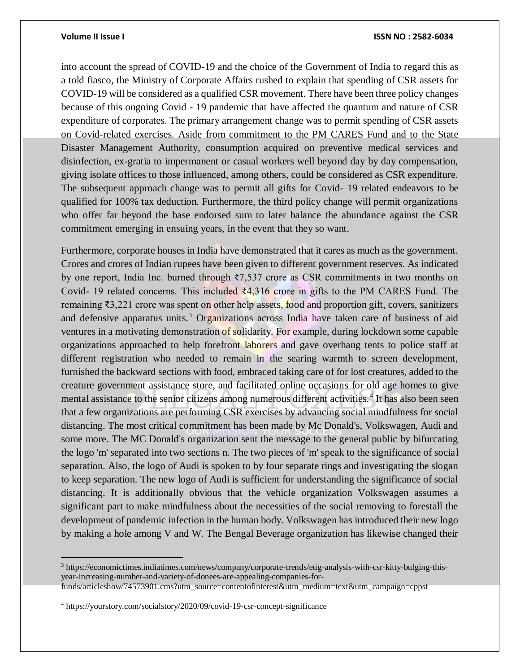$\overline{a}$ 

#### **Volume II Issue I ISSN NO : 2582-6034**

into account the spread of COVID-19 and the choice of the Government of India to regard this as a told fiasco, the Ministry of Corporate Affairs rushed to explain that spending of CSR assets for COVID-19 will be considered as a qualified CSR movement. There have been three policy changes because of this ongoing Covid - 19 pandemic that have affected the quantum and nature of CSR expenditure of corporates. The primary arrangement change was to permit spending of CSR assets on Covid-related exercises. Aside from commitment to the PM CARES Fund and to the State Disaster Management Authority, consumption acquired on preventive medical services and disinfection, ex-gratia to impermanent or casual workers well beyond day by day compensation, giving isolate offices to those influenced, among others, could be considered as CSR expenditure. The subsequent approach change was to permit all gifts for Covid- 19 related endeavors to be qualified for 100% tax deduction. Furthermore, the third policy change will permit organizations who offer far beyond the base endorsed sum to later balance the abundance against the CSR commitment emerging in ensuing years, in the event that they so want.

Furthermore, corporate houses in India have demonstrated that it cares as much as the government. Crores and crores of Indian rupees have been given to different government reserves. As indicated by one report, India Inc. burned through ₹7,537 crore as CSR commitments in two months on Covid- 19 related concerns. This included  $\overline{24,316}$  crore in gifts to the PM CARES Fund. The remaining ₹3,221 crore was spent on other help assets, food and proportion gift, covers, sanitizers and defensive apparatus units.<sup>3</sup> Organizations across India have taken care of business of aid ventures in a motivating demonstration of solidarity. For example, during lockdown some capable organizations approached to help forefront laborers and gave overhang tents to police staff at different registration who needed to remain in the searing warmth to screen development, furnished the backward sections with food, embraced taking care of for lost creatures, added to the creature government assistance store, and facilitated online occasions for old age homes to give mental assistance to the senior citizens among numerous different activities.<sup>4</sup> It has also been seen that a few organizations are performing CSR exercises by advancing social mindfulness for social distancing. The most critical commitment has been made by Mc Donald's, Volkswagen, Audi and some more. The MC Donald's organization sent the message to the general public by bifurcating the logo 'm' separated into two sections n. The two pieces of 'm' speak to the significance of social separation. Also, the logo of Audi is spoken to by four separate rings and investigating the slogan to keep separation. The new logo of Audi is sufficient for understanding the significance of social distancing. It is additionally obvious that the vehicle organization Volkswagen assumes a significant part to make mindfulness about the necessities of the social removing to forestall the development of pandemic infection in the human body. Volkswagen has introduced their new logo by making a hole among V and W. The Bengal Beverage organization has likewise changed their

<sup>3</sup> https://economictimes.indiatimes.com/news/company/corporate-trends/etig-analysis-with-csr-kitty-bulging-thisyear-increasing-number-and-variety-of-donees-are-appealing-companies-for-

funds/articleshow/74573901.cms?utm\_source=contentofinterest&utm\_medium=text&utm\_campaign=cppst

<sup>4</sup> https://yourstory.com/socialstory/2020/09/covid-19-csr-concept-significance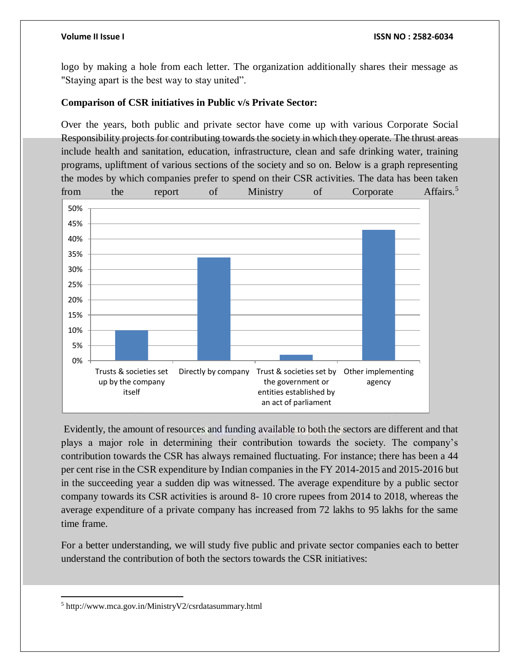logo by making a hole from each letter. The organization additionally shares their message as "Staying apart is the best way to stay united".

# **Comparison of CSR initiatives in Public v/s Private Sector:**

Over the years, both public and private sector have come up with various Corporate Social Responsibility projects for contributing towards the society in which they operate. The thrust areas include health and sanitation, education, infrastructure, clean and safe drinking water, training programs, upliftment of various sections of the society and so on. Below is a graph representing the modes by which companies prefer to spend on their CSR activities. The data has been taken from the report of Ministry of Corporate Affairs.<sup>5</sup>



Evidently, the amount of resources and funding available to both the sectors are different and that plays a major role in determining their contribution towards the society. The company's contribution towards the CSR has always remained fluctuating. For instance; there has been a 44 per cent rise in the CSR expenditure by Indian companies in the FY 2014-2015 and 2015-2016 but in the succeeding year a sudden dip was witnessed. The average expenditure by a public sector company towards its CSR activities is around 8- 10 crore rupees from 2014 to 2018, whereas the average expenditure of a private company has increased from 72 lakhs to 95 lakhs for the same time frame.

For a better understanding, we will study five public and private sector companies each to better understand the contribution of both the sectors towards the CSR initiatives:

 $\overline{a}$ <sup>5</sup> http://www.mca.gov.in/MinistryV2/csrdatasummary.html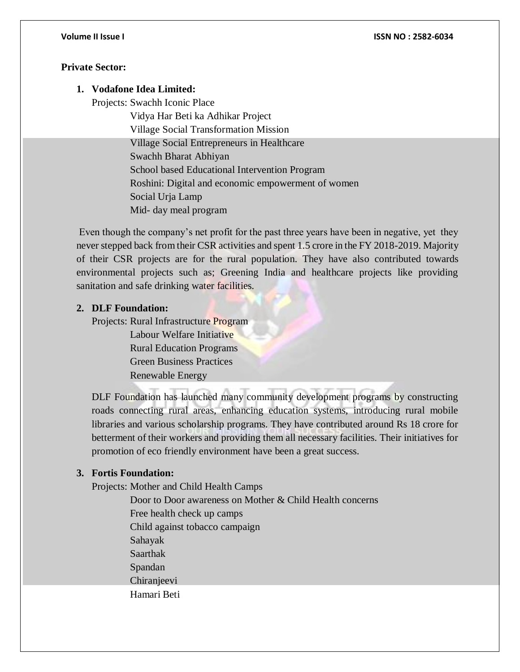## **Private Sector:**

# **1. Vodafone Idea Limited:**

Projects: Swachh Iconic Place

 Vidya Har Beti ka Adhikar Project Village Social Transformation Mission Village Social Entrepreneurs in Healthcare Swachh Bharat Abhiyan School based Educational Intervention Program Roshini: Digital and economic empowerment of women Social Urja Lamp Mid- day meal program

Even though the company's net profit for the past three years have been in negative, yet they never stepped back from their CSR activities and spent 1.5 crore in the FY 2018-2019. Majority of their CSR projects are for the rural population. They have also contributed towards environmental projects such as; Greening India and healthcare projects like providing sanitation and safe drinking water facilities.

# **2. DLF Foundation:**

Projects: Rural Infrastructure Program

 Labour Welfare Initiative Rural Education Programs Green Business Practices Renewable Energy

DLF Foundation has launched many community development programs by constructing roads connecting rural areas, enhancing education systems, introducing rural mobile libraries and various scholarship programs. They have contributed around Rs 18 crore for betterment of their workers and providing them all necessary facilities. Their initiatives for promotion of eco friendly environment have been a great success.

# **3. Fortis Foundation:**

Projects: Mother and Child Health Camps

 Door to Door awareness on Mother & Child Health concerns Free health check up camps Child against tobacco campaign Sahayak Saarthak Spandan Chiranieevi Hamari Beti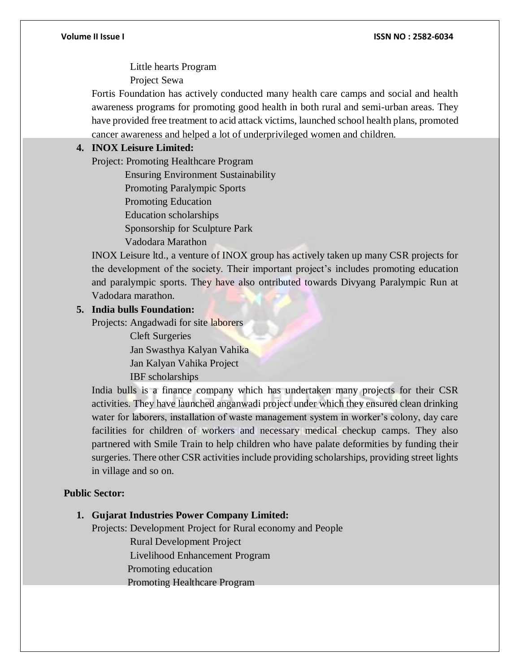Little hearts Program

Project Sewa

Fortis Foundation has actively conducted many health care camps and social and health awareness programs for promoting good health in both rural and semi-urban areas. They have provided free treatment to acid attack victims, launched school health plans, promoted cancer awareness and helped a lot of underprivileged women and children.

### **4. INOX Leisure Limited:**

Project: Promoting Healthcare Program

Ensuring Environment Sustainability

Promoting Paralympic Sports

Promoting Education

Education scholarships

Sponsorship for Sculpture Park

Vadodara Marathon

INOX Leisure ltd., a venture of INOX group has actively taken up many CSR projects for the development of the society. Their important project's includes promoting education and paralympic sports. They have also ontributed towards Divyang Paralympic Run at Vadodara marathon.

### **5. India bulls Foundation:**

Projects: Angadwadi for site laborers

 Cleft Surgeries Jan Swasthya Kalyan Vahika Jan Kalyan Vahika Project IBF scholarships

India bulls is a finance company which has undertaken many projects for their CSR activities. They have launched anganwadi project under which they ensured clean drinking water for laborers, installation of waste management system in worker's colony, day care facilities for children of workers and necessary medical checkup camps. They also partnered with Smile Train to help children who have palate deformities by funding their surgeries. There other CSR activities include providing scholarships, providing street lights in village and so on.

#### **Public Sector:**

#### **1. Gujarat Industries Power Company Limited:**

Projects: Development Project for Rural economy and People

Rural Development Project

Livelihood Enhancement Program

Promoting education

Promoting Healthcare Program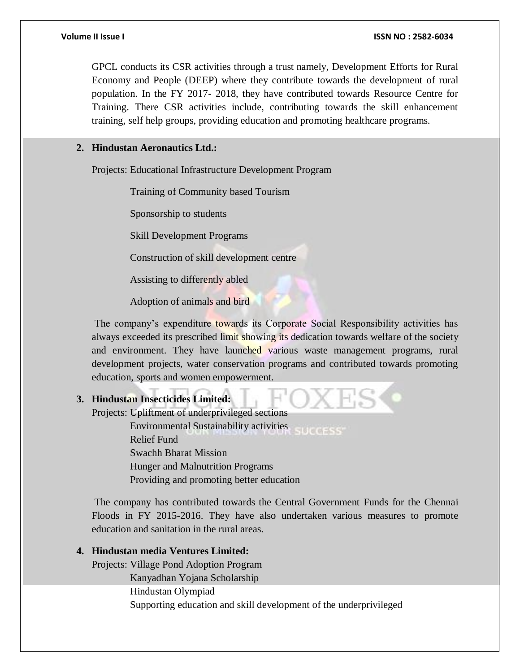GPCL conducts its CSR activities through a trust namely, Development Efforts for Rural Economy and People (DEEP) where they contribute towards the development of rural population. In the FY 2017- 2018, they have contributed towards Resource Centre for Training. There CSR activities include, contributing towards the skill enhancement training, self help groups, providing education and promoting healthcare programs.

### **2. Hindustan Aeronautics Ltd.:**

Projects: Educational Infrastructure Development Program

Training of Community based Tourism

Sponsorship to students

Skill Development Programs

Construction of skill development centre

Assisting to differently abled

Adoption of animals and bird

The company's expenditure towards its Corporate Social Responsibility activities has always exceeded its prescribed limit showing its dedication towards welfare of the society and environment. They have launched various waste management programs, rural development projects, water conservation programs and contributed towards promoting education, sports and women empowerment.

# **3. Hindustan Insecticides Limited:**

Projects: Upliftment of underprivileged sections Environmental Sustainability activities Relief Fund Swachh Bharat Mission

Hunger and Malnutrition Programs

Providing and promoting better education

The company has contributed towards the Central Government Funds for the Chennai Floods in FY 2015-2016. They have also undertaken various measures to promote education and sanitation in the rural areas.

# **4. Hindustan media Ventures Limited:**

Projects: Village Pond Adoption Program

Kanyadhan Yojana Scholarship

Hindustan Olympiad

Supporting education and skill development of the underprivileged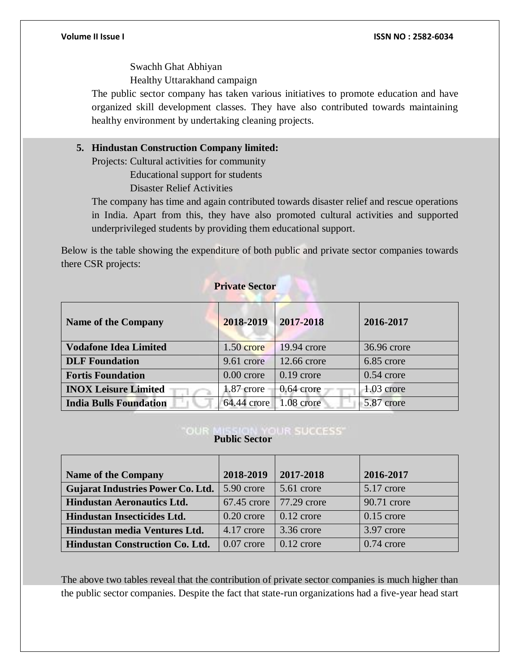Swachh Ghat Abhiyan

Healthy Uttarakhand campaign

The public sector company has taken various initiatives to promote education and have organized skill development classes. They have also contributed towards maintaining healthy environment by undertaking cleaning projects.

# **5. Hindustan Construction Company limited:**

Projects: Cultural activities for community

Educational support for students

Disaster Relief Activities

The company has time and again contributed towards disaster relief and rescue operations in India. Apart from this, they have also promoted cultural activities and supported underprivileged students by providing them educational support.

Below is the table showing the expenditure of both public and private sector companies towards there CSR projects:

# **Private Sector**

| <b>Name of the Company</b>    | 2018-2019    | 2017-2018    | 2016-2017    |
|-------------------------------|--------------|--------------|--------------|
| <b>Vodafone Idea Limited</b>  | $1.50$ crore | 19.94 crore  | 36.96 crore  |
| <b>DLF</b> Foundation         | 9.61 crore   | 12.66 crore  | 6.85 crore   |
| <b>Fortis Foundation</b>      | $0.00$ crore | $0.19$ crore | $0.54$ crore |
| <b>INOX Leisure Limited</b>   | $1.87$ crore | $0.64$ crore | $1.03$ crore |
| <b>India Bulls Foundation</b> | 64.44 crore  | 1.08 crore   | 5.87 crore   |

# *Public Sector* **RESERVING PUBLIC SECTION**

| <b>Name of the Company</b>               | 2018-2019     | 2017-2018    | 2016-2017    |
|------------------------------------------|---------------|--------------|--------------|
| <b>Gujarat Industries Power Co. Ltd.</b> | 5.90 crore    | 5.61 crore   | 5.17 crore   |
| <b>Hindustan Aeronautics Ltd.</b>        | $67.45$ crore | 77.29 crore  | 90.71 crore  |
| Hindustan Insecticides Ltd.              | $0.20$ crore  | $0.12$ crore | $0.15$ crore |
| Hindustan media Ventures Ltd.            | 4.17 crore    | 3.36 crore   | 3.97 crore   |
| <b>Hindustan Construction Co. Ltd.</b>   | $0.07$ crore  | $0.12$ crore | $0.74$ crore |

The above two tables reveal that the contribution of private sector companies is much higher than the public sector companies. Despite the fact that state-run organizations had a five-year head start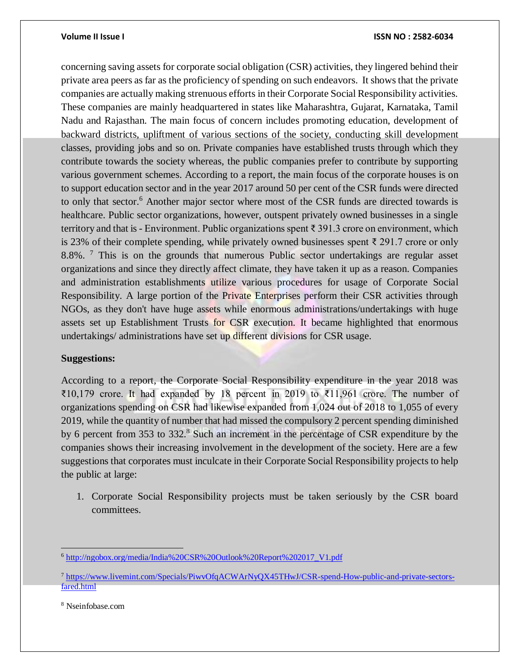concerning saving assets for corporate social obligation (CSR) activities, they lingered behind their private area peers as far as the proficiency of spending on such endeavors. It shows that the private companies are actually making strenuous efforts in their Corporate Social Responsibility activities. These companies are mainly headquartered in states like Maharashtra, Gujarat, Karnataka, Tamil Nadu and Rajasthan. The main focus of concern includes promoting education, development of backward districts, upliftment of various sections of the society, conducting skill development classes, providing jobs and so on. Private companies have established trusts through which they contribute towards the society whereas, the public companies prefer to contribute by supporting various government schemes. According to a report, the main focus of the corporate houses is on to support education sector and in the year 2017 around 50 per cent of the CSR funds were directed to only that sector.<sup>6</sup> Another major sector where most of the CSR funds are directed towards is healthcare. Public sector organizations, however, outspent privately owned businesses in a single territory and that is - Environment. Public organizations spent ₹ 391.3 crore on environment, which is 23% of their complete spending, while privately owned businesses spent ₹ 291.7 crore or only 8.8%. <sup>7</sup> This is on the grounds that numerous Public sector undertakings are regular asset organizations and since they directly affect climate, they have taken it up as a reason. Companies and administration establishments utilize various procedures for usage of Corporate Social Responsibility. A large portion of the Private Enterprises perform their CSR activities through NGOs, as they don't have huge assets while enormous administrations/undertakings with huge assets set up Establishment Trusts for CSR execution. It became highlighted that enormous undertakings/ administrations have set up different divisions for CSR usage.

#### **Suggestions:**

According to a report, the Corporate Social Responsibility expenditure in the year 2018 was ₹10,179 crore. It had expanded by 18 percent in 2019 to ₹11,961 crore. The number of organizations spending on CSR had likewise expanded from 1,024 out of 2018 to 1,055 of every 2019, while the quantity of number that had missed the compulsory 2 percent spending diminished by 6 percent from 353 to 332.<sup>8</sup> Such an increment in the percentage of CSR expenditure by the companies shows their increasing involvement in the development of the society. Here are a few suggestions that corporates must inculcate in their Corporate Social Responsibility projects to help the public at large:

1. Corporate Social Responsibility projects must be taken seriously by the CSR board committees.

<sup>8</sup> Nseinfobase.com

 $\overline{a}$ 

<sup>6</sup> [http://ngobox.org/media/India%20CSR%20Outlook%20Report%202017\\_V1.pdf](http://ngobox.org/media/India%20CSR%20Outlook%20Report%202017_V1.pdf)

<sup>7</sup> [https://www.livemint.com/Specials/PiwvOfqACWArNyQX45THwJ/CSR-spend-How-public-and-private-sectors](https://www.livemint.com/Specials/PiwvOfqACWArNyQX45THwJ/CSR-spend-How-public-and-private-sectors-fared.html)[fared.html](https://www.livemint.com/Specials/PiwvOfqACWArNyQX45THwJ/CSR-spend-How-public-and-private-sectors-fared.html)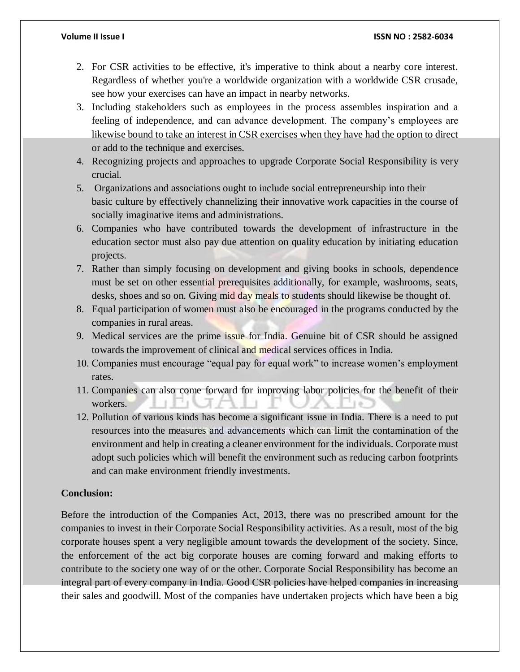- 2. For CSR activities to be effective, it's imperative to think about a nearby core interest. Regardless of whether you're a worldwide organization with a worldwide CSR crusade, see how your exercises can have an impact in nearby networks.
- 3. Including stakeholders such as employees in the process assembles inspiration and a feeling of independence, and can advance development. The company's employees are likewise bound to take an interest in CSR exercises when they have had the option to direct or add to the technique and exercises.
- 4. Recognizing projects and approaches to upgrade Corporate Social Responsibility is very crucial.
- 5. Organizations and associations ought to include social entrepreneurship into their basic culture by effectively channelizing their innovative work capacities in the course of socially imaginative items and administrations.
- 6. Companies who have contributed towards the development of infrastructure in the education sector must also pay due attention on quality education by initiating education projects.
- 7. Rather than simply focusing on development and giving books in schools, dependence must be set on other essential prerequisites additionally, for example, washrooms, seats, desks, shoes and so on. Giving mid day meals to students should likewise be thought of.
- 8. Equal participation of women must also be encouraged in the programs conducted by the companies in rural areas.
- 9. Medical services are the prime issue for India. Genuine bit of CSR should be assigned towards the improvement of clinical and medical services offices in India.
- 10. Companies must encourage "equal pay for equal work" to increase women's employment rates.
- 11. Companies can also come forward for improving labor policies for the benefit of their workers.
- 12. Pollution of various kinds has become a significant issue in India. There is a need to put resources into the measures and advancements which can limit the contamination of the environment and help in creating a cleaner environment for the individuals. Corporate must adopt such policies which will benefit the environment such as reducing carbon footprints and can make environment friendly investments.

# **Conclusion:**

Before the introduction of the Companies Act, 2013, there was no prescribed amount for the companies to invest in their Corporate Social Responsibility activities. As a result, most of the big corporate houses spent a very negligible amount towards the development of the society. Since, the enforcement of the act big corporate houses are coming forward and making efforts to contribute to the society one way of or the other. Corporate Social Responsibility has become an integral part of every company in India. Good CSR policies have helped companies in increasing their sales and goodwill. Most of the companies have undertaken projects which have been a big